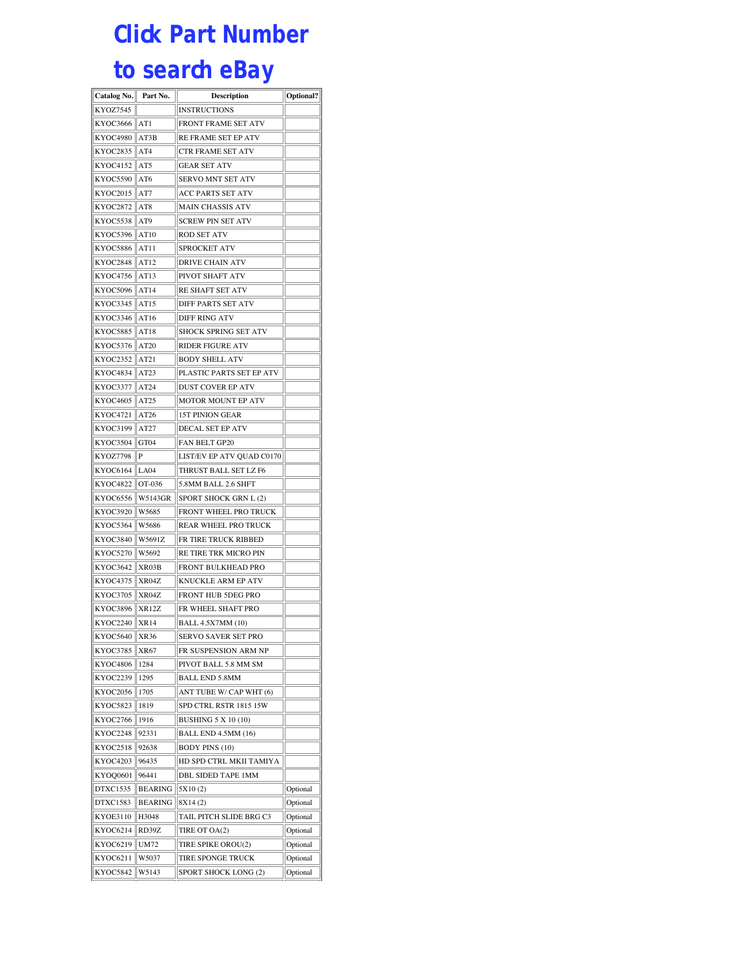## **Click Part Number**

## **to search eBay**

| Catalog No.                 | Part No.       | Description                                         | Optional? |
|-----------------------------|----------------|-----------------------------------------------------|-----------|
| KYOZ7545                    |                | INSTRUCTIONS                                        |           |
| KYOC3666                    | AT1            | FRONT FRAME SET ATV                                 |           |
| <b>KYOC4980</b>             | AT3B           | RE FRAME SET EP ATV                                 |           |
| KYOC2835                    | AT4            | CTR FRAME SET ATV                                   |           |
| KYOC4152                    | AT5            | <b>GEAR SET ATV</b>                                 |           |
| <b>KYOC5590</b>             | AT6            | SERVO MNT SET ATV                                   |           |
| <b>KYOC2015</b>             | AT7            | ACC PARTS SET ATV                                   |           |
| KYOC2872                    | AT8            | MAIN CHASSIS ATV                                    |           |
| <b>KYOC5538</b>             | AT9            | <b>SCREW PIN SET ATV</b>                            |           |
| KYOC5396                    | AT10           | ROD SET ATV                                         |           |
| <b>KYOC5886</b>             | AT11           | SPROCKET ATV                                        |           |
| <b>KYOC2848</b>             | AT12           | <b>DRIVE CHAIN ATV</b>                              |           |
| KYOC4756                    | AT13           | PIVOT SHAFT ATV                                     |           |
| KYOC5096                    | AT14           | RE SHAFT SET ATV                                    |           |
| KYOC3345                    | AT15           | DIFF PARTS SET ATV                                  |           |
| KYOC3346                    | AT16           | <b>DIFF RING ATV</b>                                |           |
| KYOC5885                    | AT18           | SHOCK SPRING SET ATV                                |           |
| KYOC5376                    | AT20           | <b>RIDER FIGURE ATV</b>                             |           |
| KYOC2352                    | AT21           | BODY SHELL ATV                                      |           |
| KYOC4834                    | AT23           | PLASTIC PARTS SET EP ATV                            |           |
| KYOC3377                    | AT24           | DUST COVER EP ATV                                   |           |
| KYOC4605                    | AT25           | MOTOR MOUNT EP ATV                                  |           |
| KYOC4721                    | AT26           | <b>15T PINION GEAR</b>                              |           |
| KYOC3199                    | AT27           | <b>DECAL SET EP ATV</b>                             |           |
| KYOC3504                    | GT04           | <b>FAN BELT GP20</b>                                |           |
| KYOZ7798                    | P              | LIST/EV EP ATV QUAD C0170                           |           |
| <b>KYOC6164</b>             | LA04           | THRUST BALL SET LZ F6                               |           |
| KYOC4822                    | OT-036         | 5.8MM BALL 2.6 SHFT                                 |           |
| KYOC6556                    | W5143GR        | SPORT SHOCK GRN L (2)                               |           |
| KYOC3920                    | W5685          | FRONT WHEEL PRO TRUCK                               |           |
| <b>KYOC5364</b>             | W5686          | REAR WHEEL PRO TRUCK                                |           |
| KYOC3840                    | W5691Z         | FR TIRE TRUCK RIBBED                                |           |
| <b>KYOC5270</b>             | W5692          | RE TIRE TRK MICRO PIN                               |           |
| KYOC3642                    | XR03B          | <b>FRONT BULKHEAD PRO</b>                           |           |
| KYOC4375                    | XR04Z          | KNUCKLE ARM EP ATV                                  |           |
| KYOC3705                    | XR04Z          | FRONT HUB 5DEG PRO                                  |           |
| KYOC3896                    | XR12Z          | FR WHEEL SHAFT PRO                                  |           |
| KYOC2240                    | XR14           | <b>BALL 4.5X7MM (10)</b>                            |           |
| <b>KYOC5640</b>             | XR36           | SERVO SAVER SET PRO                                 |           |
| KYOC3785                    | XR67           | FR SUSPENSION ARM NP                                |           |
| KYOC4806                    | 1284           | PIVOT BALL 5.8 MM SM                                |           |
| KYOC2239                    | 1295           | <b>BALL END 5.8MM</b>                               |           |
| KYOC2056                    | 1705           | ANT TUBE W/ CAP WHT (6)                             |           |
| KYOC5823                    | 1819           | SPD CTRL RSTR 1815 15W                              |           |
| KYOC2766                    | 1916           | <b>BUSHING 5 X 10 (10)</b>                          |           |
| KYOC2248<br><b>KYOC2518</b> | 92331<br>92638 | <b>BALL END 4.5MM (16)</b><br><b>BODY PINS (10)</b> |           |
| KYOC4203                    | 96435          | HD SPD CTRL MKII TAMIYA                             |           |
| KYO00601                    | 96441          | DBL SIDED TAPE 1MM                                  |           |
| DTXC1535                    | <b>BEARING</b> | 5X10(2)                                             | Optional  |
| DTXC1583                    | <b>BEARING</b> | 8X14(2)                                             | Optional  |
| <b>KYOE3110</b>             | H3048          | TAIL PITCH SLIDE BRG C3                             | Optional  |
| KYOC6214                    | RD39Z          | TIRE OT OA(2)                                       | Optional  |
| KYOC6219                    | UM72           | TIRE SPIKE OROU(2)                                  | Optional  |
| KYOC6211                    | W5037          | TIRE SPONGE TRUCK                                   | Optional  |
| KYOC5842                    | W5143          | SPORT SHOCK LONG (2)                                | Optional  |
|                             |                |                                                     |           |